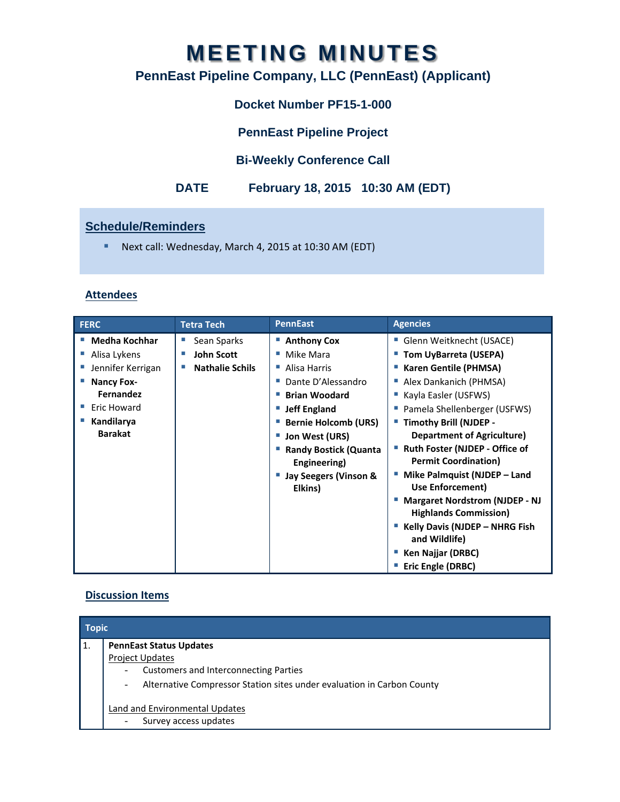# **MEETING MINUTES**

# **PennEast Pipeline Company, LLC (PennEast) (Applicant)**

# **Docket Number PF15-1-000**

**PennEast Pipeline Project** 

## **Bi-Weekly Conference Call**

## **DATE February 18, 2015 10:30 AM (EDT)**

### **Schedule/Reminders**

■ Next call: Wednesday, March 4, 2015 at 10:30 AM (EDT)

#### **Attendees**

| <b>Medha Kochhar</b><br>Sean Sparks<br>■ Anthony Cox<br>Glenn Weitknecht (USACE)                                                                                                                                                                                                                                                                                                                                                                                                                                                                                                                                                                                                                                                                                                                                                                                                                                             | <b>FERC</b> | <b>Tetra Tech</b> | <b>PennEast</b> | <b>Agencies</b> |
|------------------------------------------------------------------------------------------------------------------------------------------------------------------------------------------------------------------------------------------------------------------------------------------------------------------------------------------------------------------------------------------------------------------------------------------------------------------------------------------------------------------------------------------------------------------------------------------------------------------------------------------------------------------------------------------------------------------------------------------------------------------------------------------------------------------------------------------------------------------------------------------------------------------------------|-------------|-------------------|-----------------|-----------------|
| <b>John Scott</b><br>Mike Mara<br>" Tom UyBarreta (USEPA)<br>Alisa Lykens<br>Jennifer Kerrigan<br><b>Nathalie Schils</b><br><b>Karen Gentile (PHMSA)</b><br>Alisa Harris<br>Dante D'Alessandro<br>Alex Dankanich (PHMSA)<br><b>Nancy Fox-</b><br><b>Fernandez</b><br><b>Brian Woodard</b><br>Kayla Easler (USFWS)<br>Eric Howard<br>■ Pamela Shellenberger (USFWS)<br><b>Jeff England</b><br>Kandilarya<br><b>Bernie Holcomb (URS)</b><br>■ Timothy Brill (NJDEP -<br><b>Barakat</b><br><b>Department of Agriculture)</b><br>Jon West (URS)<br>■ Ruth Foster (NJDEP - Office of<br><b>Randy Bostick (Quanta</b><br><b>Permit Coordination)</b><br>Engineering)<br>Mike Palmquist (NJDEP - Land<br>Jay Seegers (Vinson &<br>Use Enforcement)<br>Elkins)<br><b>Margaret Nordstrom (NJDEP - NJ</b><br><b>Highlands Commission)</b><br>Kelly Davis (NJDEP - NHRG Fish<br>and Wildlife)<br>Ken Najjar (DRBC)<br>Eric Engle (DRBC) |             |                   |                 |                 |

#### **Discussion Items**

| <b>Topic</b> |                                                                                                    |  |
|--------------|----------------------------------------------------------------------------------------------------|--|
| 1.           | <b>PennEast Status Updates</b>                                                                     |  |
|              | <b>Project Updates</b>                                                                             |  |
|              | <b>Customers and Interconnecting Parties</b><br>$\overline{\phantom{a}}$                           |  |
|              | Alternative Compressor Station sites under evaluation in Carbon County<br>$\overline{\phantom{a}}$ |  |
|              | Land and Environmental Updates<br>Survey access updates<br>-                                       |  |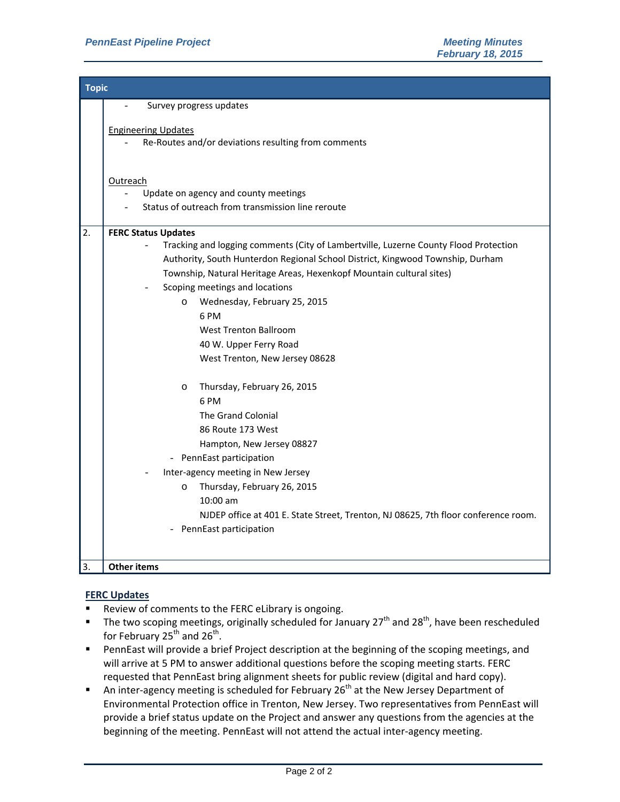|    | <b>Topic</b>                                                                         |  |  |  |  |
|----|--------------------------------------------------------------------------------------|--|--|--|--|
|    | Survey progress updates<br>$\overline{a}$                                            |  |  |  |  |
|    |                                                                                      |  |  |  |  |
|    | <b>Engineering Updates</b><br>Re-Routes and/or deviations resulting from comments    |  |  |  |  |
|    |                                                                                      |  |  |  |  |
|    |                                                                                      |  |  |  |  |
|    | Outreach                                                                             |  |  |  |  |
|    | Update on agency and county meetings                                                 |  |  |  |  |
|    | Status of outreach from transmission line reroute                                    |  |  |  |  |
| 2. | <b>FERC Status Updates</b>                                                           |  |  |  |  |
|    | Tracking and logging comments (City of Lambertville, Luzerne County Flood Protection |  |  |  |  |
|    | Authority, South Hunterdon Regional School District, Kingwood Township, Durham       |  |  |  |  |
|    | Township, Natural Heritage Areas, Hexenkopf Mountain cultural sites)                 |  |  |  |  |
|    | Scoping meetings and locations                                                       |  |  |  |  |
|    | Wednesday, February 25, 2015<br>$\circ$                                              |  |  |  |  |
|    | 6 PM                                                                                 |  |  |  |  |
|    | <b>West Trenton Ballroom</b>                                                         |  |  |  |  |
|    | 40 W. Upper Ferry Road                                                               |  |  |  |  |
|    | West Trenton, New Jersey 08628                                                       |  |  |  |  |
|    | Thursday, February 26, 2015<br>$\circ$                                               |  |  |  |  |
|    | 6 PM                                                                                 |  |  |  |  |
|    | The Grand Colonial                                                                   |  |  |  |  |
|    | 86 Route 173 West                                                                    |  |  |  |  |
|    | Hampton, New Jersey 08827                                                            |  |  |  |  |
|    | - PennEast participation                                                             |  |  |  |  |
|    | Inter-agency meeting in New Jersey                                                   |  |  |  |  |
|    | Thursday, February 26, 2015<br>$\circ$                                               |  |  |  |  |
|    | $10:00$ am                                                                           |  |  |  |  |
|    | NJDEP office at 401 E. State Street, Trenton, NJ 08625, 7th floor conference room.   |  |  |  |  |
|    | PennEast participation                                                               |  |  |  |  |
|    |                                                                                      |  |  |  |  |
| 3. | <b>Other items</b>                                                                   |  |  |  |  |

#### **FERC Updates**

- Review of comments to the FERC eLibrary is ongoing.
- The two scoping meetings, originally scheduled for January  $27^{th}$  and  $28^{th}$ , have been rescheduled for February  $25^{th}$  and  $26^{th}$ .
- PennEast will provide a brief Project description at the beginning of the scoping meetings, and will arrive at 5 PM to answer additional questions before the scoping meeting starts. FERC requested that PennEast bring alignment sheets for public review (digital and hard copy).
- An inter-agency meeting is scheduled for February  $26<sup>th</sup>$  at the New Jersey Department of Environmental Protection office in Trenton, New Jersey. Two representatives from PennEast will provide a brief status update on the Project and answer any questions from the agencies at the beginning of the meeting. PennEast will not attend the actual inter-agency meeting.